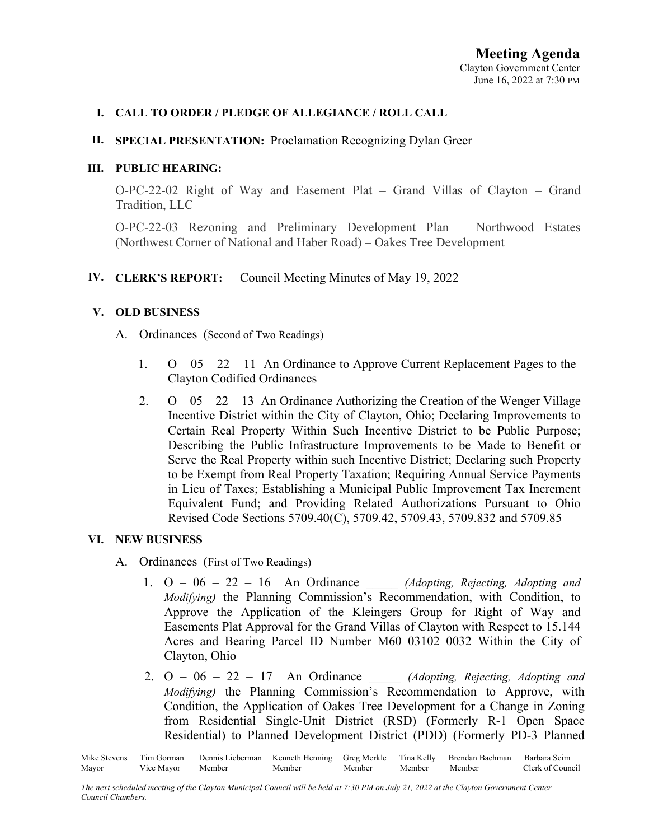## **I. CALL TO ORDER / PLEDGE OF ALLEGIANCE / ROLL CALL**

## **II. SPECIAL PRESENTATION:** Proclamation Recognizing Dylan Greer

## **III. PUBLIC HEARING:**

O-PC-22-02 Right of Way and Easement Plat – Grand Villas of Clayton – Grand Tradition, LLC

O-PC-22-03 Rezoning and Preliminary Development Plan – Northwood Estates (Northwest Corner of National and Haber Road) – Oakes Tree Development

# **IV. CLERK'S REPORT:** Council Meeting Minutes of May 19, 2022

## **V. OLD BUSINESS**

- A. Ordinances (Second of Two Readings)
	- 1.  $O 05 22 11$  An Ordinance to Approve Current Replacement Pages to the Clayton Codified Ordinances
	- 2.  $O 05 22 13$  An Ordinance Authorizing the Creation of the Wenger Village Incentive District within the City of Clayton, Ohio; Declaring Improvements to Certain Real Property Within Such Incentive District to be Public Purpose; Describing the Public Infrastructure Improvements to be Made to Benefit or Serve the Real Property within such Incentive District; Declaring such Property to be Exempt from Real Property Taxation; Requiring Annual Service Payments in Lieu of Taxes; Establishing a Municipal Public Improvement Tax Increment Equivalent Fund; and Providing Related Authorizations Pursuant to Ohio Revised Code Sections 5709.40(C), 5709.42, 5709.43, 5709.832 and 5709.85

## **VI. NEW BUSINESS**

- A. Ordinances (First of Two Readings)
	- 1. O 06 22 16 An Ordinance \_\_\_\_\_ *(Adopting, Rejecting, Adopting and Modifying)* the Planning Commission's Recommendation, with Condition, to Approve the Application of the Kleingers Group for Right of Way and Easements Plat Approval for the Grand Villas of Clayton with Respect to 15.144 Acres and Bearing Parcel ID Number M60 03102 0032 Within the City of Clayton, Ohio
	- 2. O 06 22 17 An Ordinance \_\_\_\_\_ *(Adopting, Rejecting, Adopting and Modifying)* the Planning Commission's Recommendation to Approve, with Condition, the Application of Oakes Tree Development for a Change in Zoning from Residential Single-Unit District (RSD) (Formerly R-1 Open Space Residential) to Planned Development District (PDD) (Formerly PD-3 Planned

Mike Stevens Tim Gorman Dennis Lieberman Kenneth Henning Greg Merkle Tina Kelly Brendan Bachman Barbara Seim Mayor Vice Mayor Member Member Member Member Member Clerk of Council